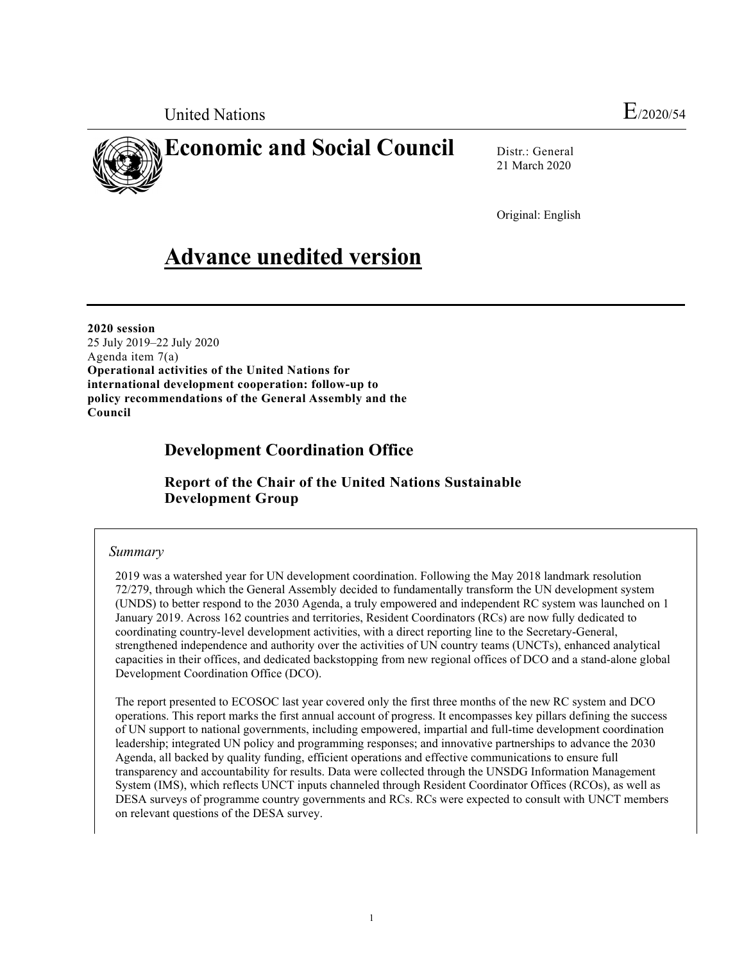United Nations E<sub>/2020/54</sub>



# **Economic and Social Council**

Distr.: General 21 March 2020

Original: English

# **Advance unedited version**

**2020 session**  25 July 2019–22 July 2020 Agenda item 7(a) **Operational activities of the United Nations for international development cooperation: follow-up to policy recommendations of the General Assembly and the Council** 

## **Development Coordination Office**

 **Report of the Chair of the United Nations Sustainable Development Group** 

### *Summary*

2019 was a watershed year for UN development coordination. Following the May 2018 landmark resolution 72/279, through which the General Assembly decided to fundamentally transform the UN development system (UNDS) to better respond to the 2030 Agenda, a truly empowered and independent RC system was launched on 1 January 2019. Across 162 countries and territories, Resident Coordinators (RCs) are now fully dedicated to coordinating country-level development activities, with a direct reporting line to the Secretary-General, strengthened independence and authority over the activities of UN country teams (UNCTs), enhanced analytical capacities in their offices, and dedicated backstopping from new regional offices of DCO and a stand-alone global Development Coordination Office (DCO).

The report presented to ECOSOC last year covered only the first three months of the new RC system and DCO operations. This report marks the first annual account of progress. It encompasses key pillars defining the success of UN support to national governments, including empowered, impartial and full-time development coordination leadership; integrated UN policy and programming responses; and innovative partnerships to advance the 2030 Agenda, all backed by quality funding, efficient operations and effective communications to ensure full transparency and accountability for results. Data were collected through the UNSDG Information Management System (IMS), which reflects UNCT inputs channeled through Resident Coordinator Offices (RCOs), as well as DESA surveys of programme country governments and RCs. RCs were expected to consult with UNCT members on relevant questions of the DESA survey.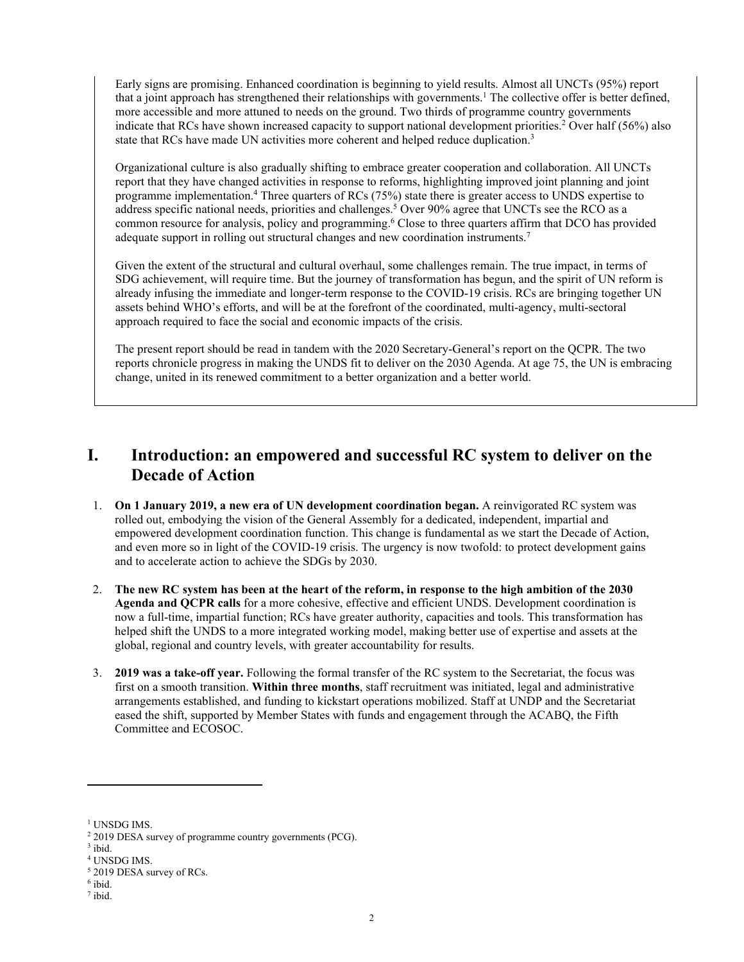Early signs are promising. Enhanced coordination is beginning to yield results. Almost all UNCTs (95%) report that a joint approach has strengthened their relationships with governments.<sup>1</sup> The collective offer is better defined, more accessible and more attuned to needs on the ground. Two thirds of programme country governments indicate that RCs have shown increased capacity to support national development priorities.<sup>2</sup> Over half (56%) also state that RCs have made UN activities more coherent and helped reduce duplication.<sup>3</sup>

Organizational culture is also gradually shifting to embrace greater cooperation and collaboration. All UNCTs report that they have changed activities in response to reforms, highlighting improved joint planning and joint programme implementation.<sup>4</sup> Three quarters of RCs (75%) state there is greater access to UNDS expertise to address specific national needs, priorities and challenges.<sup>5</sup> Over 90% agree that UNCTs see the RCO as a common resource for analysis, policy and programming.<sup>6</sup> Close to three quarters affirm that DCO has provided adequate support in rolling out structural changes and new coordination instruments.<sup>7</sup>

Given the extent of the structural and cultural overhaul, some challenges remain. The true impact, in terms of SDG achievement, will require time. But the journey of transformation has begun, and the spirit of UN reform is already infusing the immediate and longer-term response to the COVID-19 crisis. RCs are bringing together UN assets behind WHO's efforts, and will be at the forefront of the coordinated, multi-agency, multi-sectoral approach required to face the social and economic impacts of the crisis.

The present report should be read in tandem with the 2020 Secretary-General's report on the QCPR. The two reports chronicle progress in making the UNDS fit to deliver on the 2030 Agenda. At age 75, the UN is embracing change, united in its renewed commitment to a better organization and a better world.

## **I. Introduction: an empowered and successful RC system to deliver on the Decade of Action**

- 1. **On 1 January 2019, a new era of UN development coordination began.** A reinvigorated RC system was rolled out, embodying the vision of the General Assembly for a dedicated, independent, impartial and empowered development coordination function. This change is fundamental as we start the Decade of Action, and even more so in light of the COVID-19 crisis. The urgency is now twofold: to protect development gains and to accelerate action to achieve the SDGs by 2030.
- 2. **The new RC system has been at the heart of the reform, in response to the high ambition of the 2030 Agenda and QCPR calls** for a more cohesive, effective and efficient UNDS. Development coordination is now a full-time, impartial function; RCs have greater authority, capacities and tools. This transformation has helped shift the UNDS to a more integrated working model, making better use of expertise and assets at the global, regional and country levels, with greater accountability for results.
- 3. **2019 was a take-off year.** Following the formal transfer of the RC system to the Secretariat, the focus was first on a smooth transition. **Within three months**, staff recruitment was initiated, legal and administrative arrangements established, and funding to kickstart operations mobilized. Staff at UNDP and the Secretariat eased the shift, supported by Member States with funds and engagement through the ACABQ, the Fifth Committee and ECOSOC.

<sup>&</sup>lt;sup>1</sup> UNSDG IMS.

<sup>&</sup>lt;sup>2</sup> 2019 DESA survey of programme country governments (PCG).

 $3$  ibid.

<sup>4</sup> UNSDG IMS.

<sup>5</sup> 2019 DESA survey of RCs.

<sup>6</sup> ibid.

 $<sup>7</sup>$  ibid.</sup>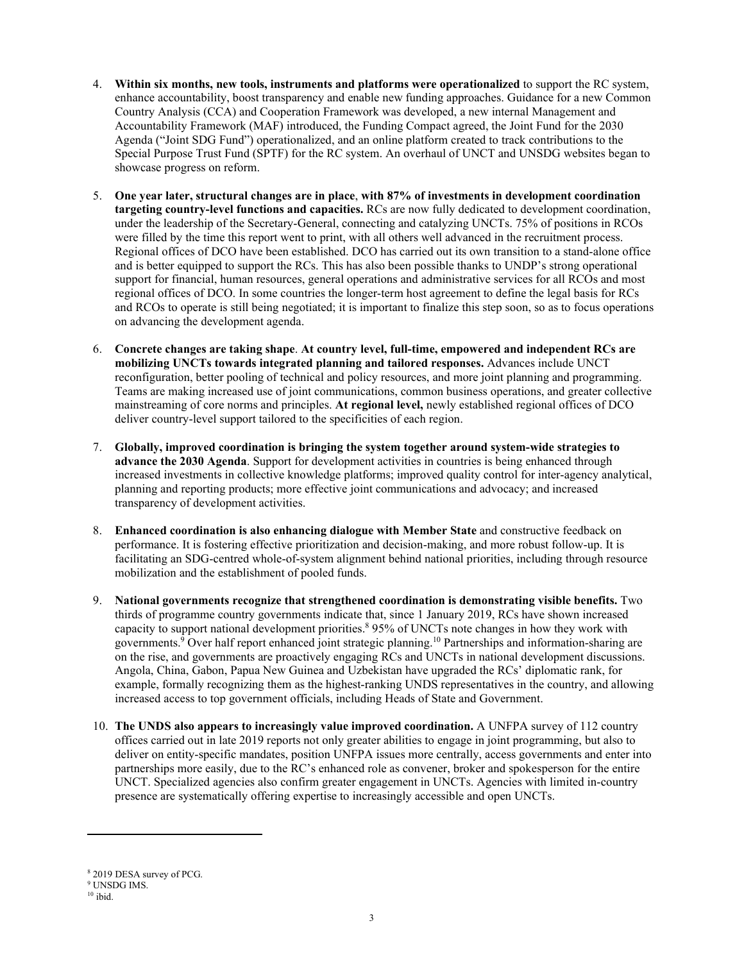- 4. **Within six months, new tools, instruments and platforms were operationalized** to support the RC system, enhance accountability, boost transparency and enable new funding approaches. Guidance for a new Common Country Analysis (CCA) and Cooperation Framework was developed, a new internal Management and Accountability Framework (MAF) introduced, the Funding Compact agreed, the Joint Fund for the 2030 Agenda ("Joint SDG Fund") operationalized, and an online platform created to track contributions to the Special Purpose Trust Fund (SPTF) for the RC system. An overhaul of UNCT and UNSDG websites began to showcase progress on reform.
- 5. **One year later, structural changes are in place**, **with 87% of investments in development coordination targeting country-level functions and capacities.** RCs are now fully dedicated to development coordination, under the leadership of the Secretary-General, connecting and catalyzing UNCTs. 75% of positions in RCOs were filled by the time this report went to print, with all others well advanced in the recruitment process. Regional offices of DCO have been established. DCO has carried out its own transition to a stand-alone office and is better equipped to support the RCs. This has also been possible thanks to UNDP's strong operational support for financial, human resources, general operations and administrative services for all RCOs and most regional offices of DCO. In some countries the longer-term host agreement to define the legal basis for RCs and RCOs to operate is still being negotiated; it is important to finalize this step soon, so as to focus operations on advancing the development agenda.
- 6. **Concrete changes are taking shape**. **At country level, full-time, empowered and independent RCs are mobilizing UNCTs towards integrated planning and tailored responses.** Advances include UNCT reconfiguration, better pooling of technical and policy resources, and more joint planning and programming. Teams are making increased use of joint communications, common business operations, and greater collective mainstreaming of core norms and principles. **At regional level,** newly established regional offices of DCO deliver country-level support tailored to the specificities of each region.
- 7. **Globally, improved coordination is bringing the system together around system-wide strategies to advance the 2030 Agenda**. Support for development activities in countries is being enhanced through increased investments in collective knowledge platforms; improved quality control for inter-agency analytical, planning and reporting products; more effective joint communications and advocacy; and increased transparency of development activities.
- 8. **Enhanced coordination is also enhancing dialogue with Member State** and constructive feedback on performance. It is fostering effective prioritization and decision-making, and more robust follow-up. It is facilitating an SDG-centred whole-of-system alignment behind national priorities, including through resource mobilization and the establishment of pooled funds.
- 9. **National governments recognize that strengthened coordination is demonstrating visible benefits.** Two thirds of programme country governments indicate that, since 1 January 2019, RCs have shown increased capacity to support national development priorities. 8 95% of UNCTs note changes in how they work with governments.<sup>9</sup> Over half report enhanced joint strategic planning.<sup>10</sup> Partnerships and information-sharing are on the rise, and governments are proactively engaging RCs and UNCTs in national development discussions. Angola, China, Gabon, Papua New Guinea and Uzbekistan have upgraded the RCs' diplomatic rank, for example, formally recognizing them as the highest-ranking UNDS representatives in the country, and allowing increased access to top government officials, including Heads of State and Government.
- 10. **The UNDS also appears to increasingly value improved coordination.** A UNFPA survey of 112 country offices carried out in late 2019 reports not only greater abilities to engage in joint programming, but also to deliver on entity-specific mandates, position UNFPA issues more centrally, access governments and enter into partnerships more easily, due to the RC's enhanced role as convener, broker and spokesperson for the entire UNCT. Specialized agencies also confirm greater engagement in UNCTs. Agencies with limited in-country presence are systematically offering expertise to increasingly accessible and open UNCTs.

<sup>8</sup> 2019 DESA survey of PCG.

<sup>9</sup> UNSDG IMS.

 $^{10}$ ibid.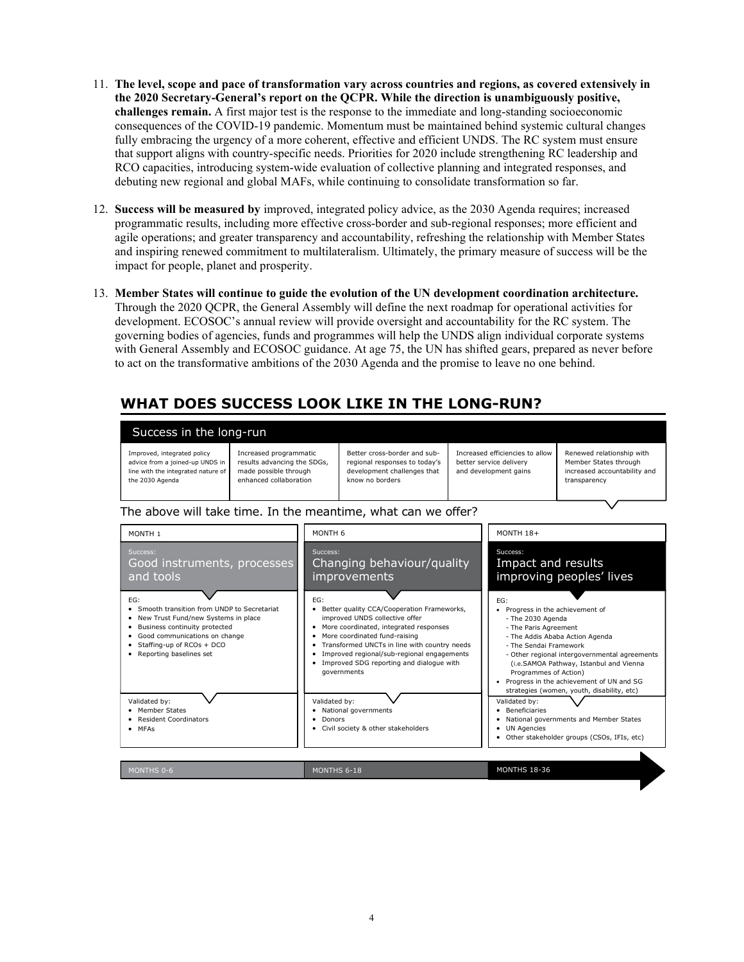- 11. **The level, scope and pace of transformation vary across countries and regions, as covered extensively in the 2020 Secretary-General's report on the QCPR. While the direction is unambiguously positive, challenges remain.** A first major test is the response to the immediate and long-standing socioeconomic consequences of the COVID-19 pandemic. Momentum must be maintained behind systemic cultural changes fully embracing the urgency of a more coherent, effective and efficient UNDS. The RC system must ensure that support aligns with country-specific needs. Priorities for 2020 include strengthening RC leadership and RCO capacities, introducing system-wide evaluation of collective planning and integrated responses, and debuting new regional and global MAFs, while continuing to consolidate transformation so far.
- 12. **Success will be measured by** improved, integrated policy advice, as the 2030 Agenda requires; increased programmatic results, including more effective cross-border and sub-regional responses; more efficient and agile operations; and greater transparency and accountability, refreshing the relationship with Member States and inspiring renewed commitment to multilateralism. Ultimately, the primary measure of success will be the impact for people, planet and prosperity.
- 13. **Member States will continue to guide the evolution of the UN development coordination architecture.** Through the 2020 QCPR, the General Assembly will define the next roadmap for operational activities for development. ECOSOC's annual review will provide oversight and accountability for the RC system. The governing bodies of agencies, funds and programmes will help the UNDS align individual corporate systems with General Assembly and ECOSOC guidance. At age 75, the UN has shifted gears, prepared as never before to act on the transformative ambitions of the 2030 Agenda and the promise to leave no one behind.

# **WHAT DOES SUCCESS LOOK LIKE IN THE LONG-RUN?**

| Success in the long-run                                                                                                 |                                                                                                          |                                                                                                                 |                                                                                     |                                                                                                    |  |  |  |  |
|-------------------------------------------------------------------------------------------------------------------------|----------------------------------------------------------------------------------------------------------|-----------------------------------------------------------------------------------------------------------------|-------------------------------------------------------------------------------------|----------------------------------------------------------------------------------------------------|--|--|--|--|
| Improved, integrated policy<br>advice from a joined-up UNDS in<br>line with the integrated nature of<br>the 2030 Agenda | Increased programmatic<br>results advancing the SDGs,<br>made possible through<br>enhanced collaboration | Better cross-border and sub-<br>regional responses to today's<br>development challenges that<br>know no borders | Increased efficiencies to allow<br>better service delivery<br>and development gains | Renewed relationship with<br>Member States through<br>increased accountability and<br>transparency |  |  |  |  |

### The above will take time. In the meantime, what can we offer?



MONTHS 18-36

MONTHS 0-6 MONTHS 6-18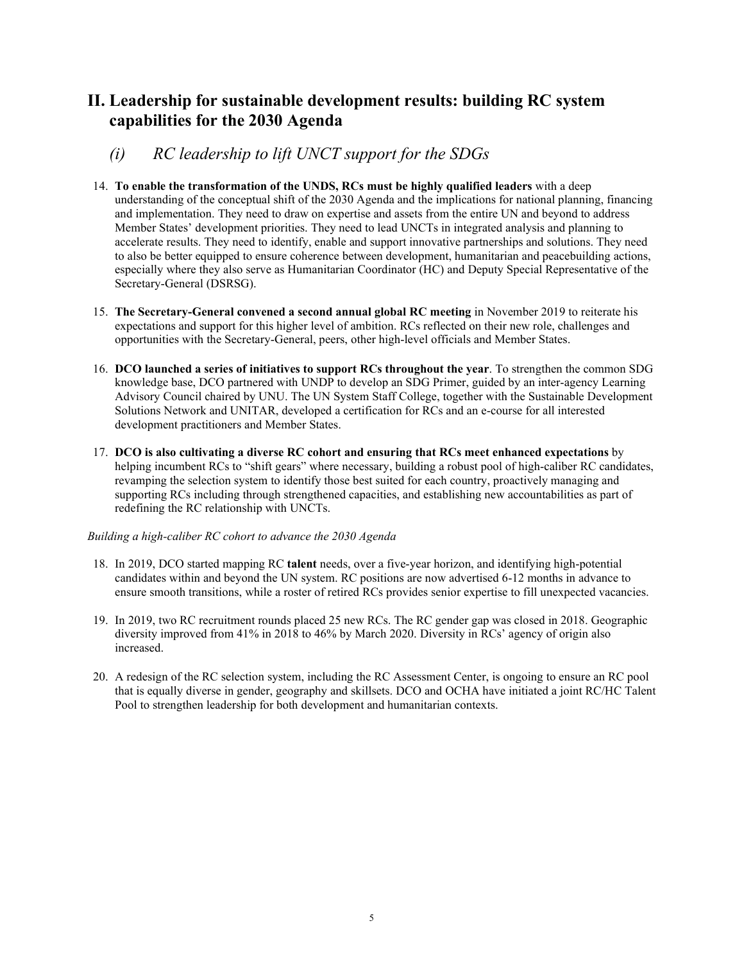### **II. Leadership for sustainable development results: building RC system capabilities for the 2030 Agenda**

- *(i) RC leadership to lift UNCT support for the SDGs*
- 14. **To enable the transformation of the UNDS, RCs must be highly qualified leaders** with a deep understanding of the conceptual shift of the 2030 Agenda and the implications for national planning, financing and implementation. They need to draw on expertise and assets from the entire UN and beyond to address Member States' development priorities. They need to lead UNCTs in integrated analysis and planning to accelerate results. They need to identify, enable and support innovative partnerships and solutions. They need to also be better equipped to ensure coherence between development, humanitarian and peacebuilding actions, especially where they also serve as Humanitarian Coordinator (HC) and Deputy Special Representative of the Secretary-General (DSRSG).
- 15. **The Secretary-General convened a second annual global RC meeting** in November 2019 to reiterate his expectations and support for this higher level of ambition. RCs reflected on their new role, challenges and opportunities with the Secretary-General, peers, other high-level officials and Member States.
- 16. **DCO launched a series of initiatives to support RCs throughout the year**. To strengthen the common SDG knowledge base, DCO partnered with UNDP to develop an SDG Primer, guided by an inter-agency Learning Advisory Council chaired by UNU. The UN System Staff College, together with the Sustainable Development Solutions Network and UNITAR, developed a certification for RCs and an e-course for all interested development practitioners and Member States.
- 17. **DCO is also cultivating a diverse RC cohort and ensuring that RCs meet enhanced expectations** by helping incumbent RCs to "shift gears" where necessary, building a robust pool of high-caliber RC candidates, revamping the selection system to identify those best suited for each country, proactively managing and supporting RCs including through strengthened capacities, and establishing new accountabilities as part of redefining the RC relationship with UNCTs.

#### *Building a high-caliber RC cohort to advance the 2030 Agenda*

- 18. In 2019, DCO started mapping RC **talent** needs, over a five-year horizon, and identifying high-potential candidates within and beyond the UN system. RC positions are now advertised 6-12 months in advance to ensure smooth transitions, while a roster of retired RCs provides senior expertise to fill unexpected vacancies.
- 19. In 2019, two RC recruitment rounds placed 25 new RCs. The RC gender gap was closed in 2018. Geographic diversity improved from 41% in 2018 to 46% by March 2020. Diversity in RCs' agency of origin also increased.
- 20. A redesign of the RC selection system, including the RC Assessment Center, is ongoing to ensure an RC pool that is equally diverse in gender, geography and skillsets. DCO and OCHA have initiated a joint RC/HC Talent Pool to strengthen leadership for both development and humanitarian contexts.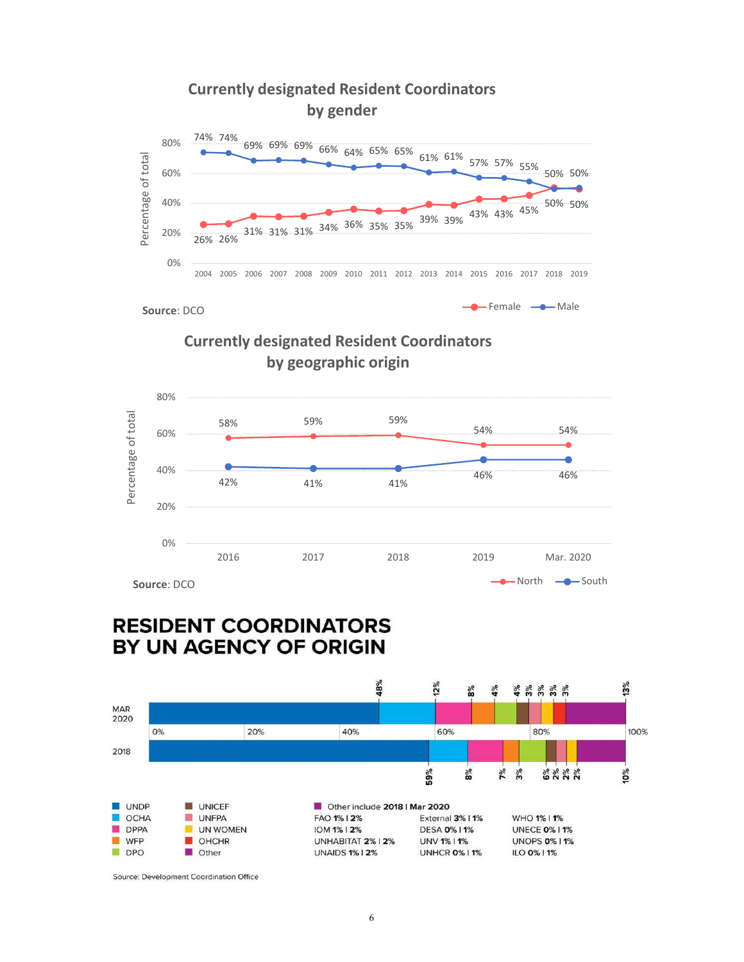





# **RESIDENT COORDINATORS** BY UN AGENCY OF ORIGIN



Source: Development Coordination Office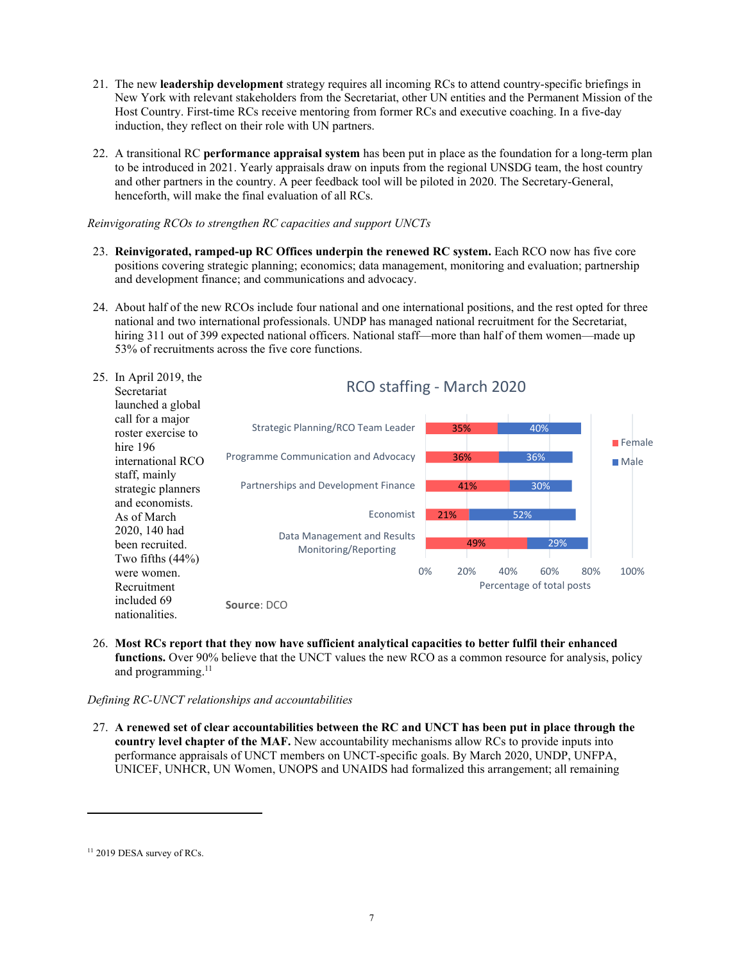- 21. The new **leadership development** strategy requires all incoming RCs to attend country-specific briefings in New York with relevant stakeholders from the Secretariat, other UN entities and the Permanent Mission of the Host Country. First-time RCs receive mentoring from former RCs and executive coaching. In a five-day induction, they reflect on their role with UN partners.
- 22. A transitional RC **performance appraisal system** has been put in place as the foundation for a long-term plan to be introduced in 2021. Yearly appraisals draw on inputs from the regional UNSDG team, the host country and other partners in the country. A peer feedback tool will be piloted in 2020. The Secretary-General, henceforth, will make the final evaluation of all RCs.

*Reinvigorating RCOs to strengthen RC capacities and support UNCTs* 

- 23. **Reinvigorated, ramped-up RC Offices underpin the renewed RC system.** Each RCO now has five core positions covering strategic planning; economics; data management, monitoring and evaluation; partnership and development finance; and communications and advocacy.
- 24. About half of the new RCOs include four national and one international positions, and the rest opted for three national and two international professionals. UNDP has managed national recruitment for the Secretariat, hiring 311 out of 399 expected national officers. National staff—more than half of them women—made up 53% of recruitments across the five core functions.



26. **Most RCs report that they now have sufficient analytical capacities to better fulfil their enhanced functions.** Over 90% believe that the UNCT values the new RCO as a common resource for analysis, policy and programming.<sup>11</sup>

#### *Defining RC-UNCT relationships and accountabilities*

27. **A renewed set of clear accountabilities between the RC and UNCT has been put in place through the country level chapter of the MAF.** New accountability mechanisms allow RCs to provide inputs into performance appraisals of UNCT members on UNCT-specific goals. By March 2020, UNDP, UNFPA, UNICEF, UNHCR, UN Women, UNOPS and UNAIDS had formalized this arrangement; all remaining

<sup>&</sup>lt;sup>11</sup> 2019 DESA survey of RCs.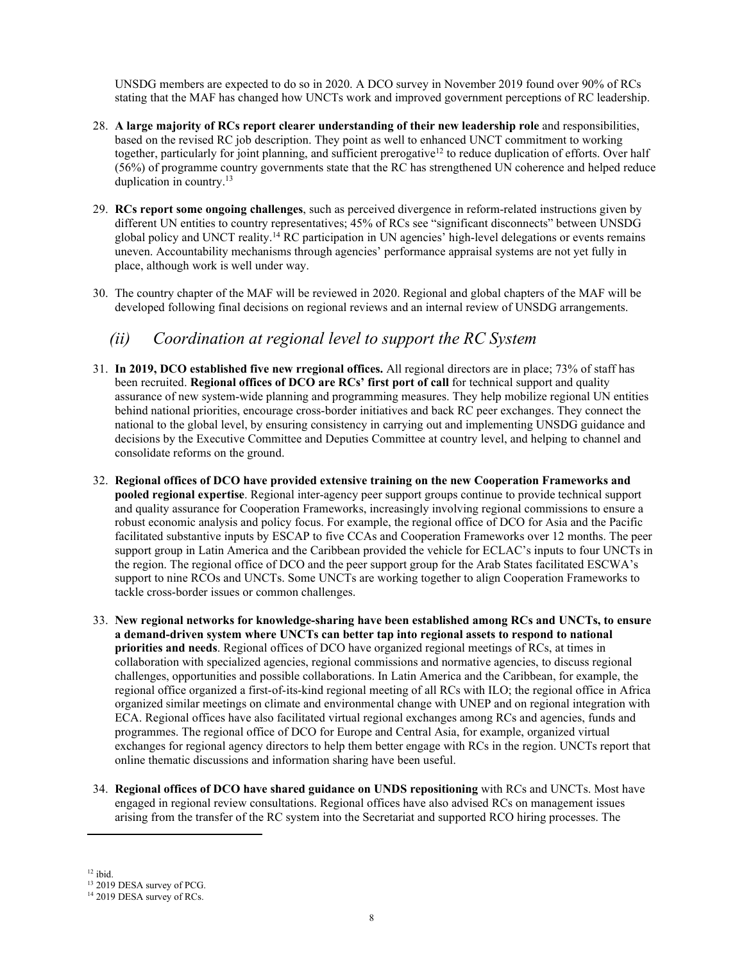UNSDG members are expected to do so in 2020. A DCO survey in November 2019 found over 90% of RCs stating that the MAF has changed how UNCTs work and improved government perceptions of RC leadership.

- 28. **A large majority of RCs report clearer understanding of their new leadership role** and responsibilities, based on the revised RC job description. They point as well to enhanced UNCT commitment to working together, particularly for joint planning, and sufficient prerogative<sup>12</sup> to reduce duplication of efforts. Over half (56%) of programme country governments state that the RC has strengthened UN coherence and helped reduce duplication in country.<sup>13</sup>
- 29. **RCs report some ongoing challenges**, such as perceived divergence in reform-related instructions given by different UN entities to country representatives; 45% of RCs see "significant disconnects" between UNSDG global policy and UNCT reality.<sup>14</sup> RC participation in UN agencies' high-level delegations or events remains uneven. Accountability mechanisms through agencies' performance appraisal systems are not yet fully in place, although work is well under way.
- 30. The country chapter of the MAF will be reviewed in 2020. Regional and global chapters of the MAF will be developed following final decisions on regional reviews and an internal review of UNSDG arrangements.

### *(ii) Coordination at regional level to support the RC System*

- 31. **In 2019, DCO established five new rregional offices.** All regional directors are in place; 73% of staff has been recruited. **Regional offices of DCO are RCs' first port of call** for technical support and quality assurance of new system-wide planning and programming measures. They help mobilize regional UN entities behind national priorities, encourage cross-border initiatives and back RC peer exchanges. They connect the national to the global level, by ensuring consistency in carrying out and implementing UNSDG guidance and decisions by the Executive Committee and Deputies Committee at country level, and helping to channel and consolidate reforms on the ground.
- 32. **Regional offices of DCO have provided extensive training on the new Cooperation Frameworks and pooled regional expertise**. Regional inter-agency peer support groups continue to provide technical support and quality assurance for Cooperation Frameworks, increasingly involving regional commissions to ensure a robust economic analysis and policy focus. For example, the regional office of DCO for Asia and the Pacific facilitated substantive inputs by ESCAP to five CCAs and Cooperation Frameworks over 12 months. The peer support group in Latin America and the Caribbean provided the vehicle for ECLAC's inputs to four UNCTs in the region. The regional office of DCO and the peer support group for the Arab States facilitated ESCWA's support to nine RCOs and UNCTs. Some UNCTs are working together to align Cooperation Frameworks to tackle cross-border issues or common challenges.
- 33. **New regional networks for knowledge-sharing have been established among RCs and UNCTs, to ensure a demand-driven system where UNCTs can better tap into regional assets to respond to national priorities and needs**. Regional offices of DCO have organized regional meetings of RCs, at times in collaboration with specialized agencies, regional commissions and normative agencies, to discuss regional challenges, opportunities and possible collaborations. In Latin America and the Caribbean, for example, the regional office organized a first-of-its-kind regional meeting of all RCs with ILO; the regional office in Africa organized similar meetings on climate and environmental change with UNEP and on regional integration with ECA. Regional offices have also facilitated virtual regional exchanges among RCs and agencies, funds and programmes. The regional office of DCO for Europe and Central Asia, for example, organized virtual exchanges for regional agency directors to help them better engage with RCs in the region. UNCTs report that online thematic discussions and information sharing have been useful.
- 34. **Regional offices of DCO have shared guidance on UNDS repositioning** with RCs and UNCTs. Most have engaged in regional review consultations. Regional offices have also advised RCs on management issues arising from the transfer of the RC system into the Secretariat and supported RCO hiring processes. The

 $12$  ibid.

<sup>&</sup>lt;sup>13</sup> 2019 DESA survey of PCG.

<sup>&</sup>lt;sup>14</sup> 2019 DESA survey of RCs.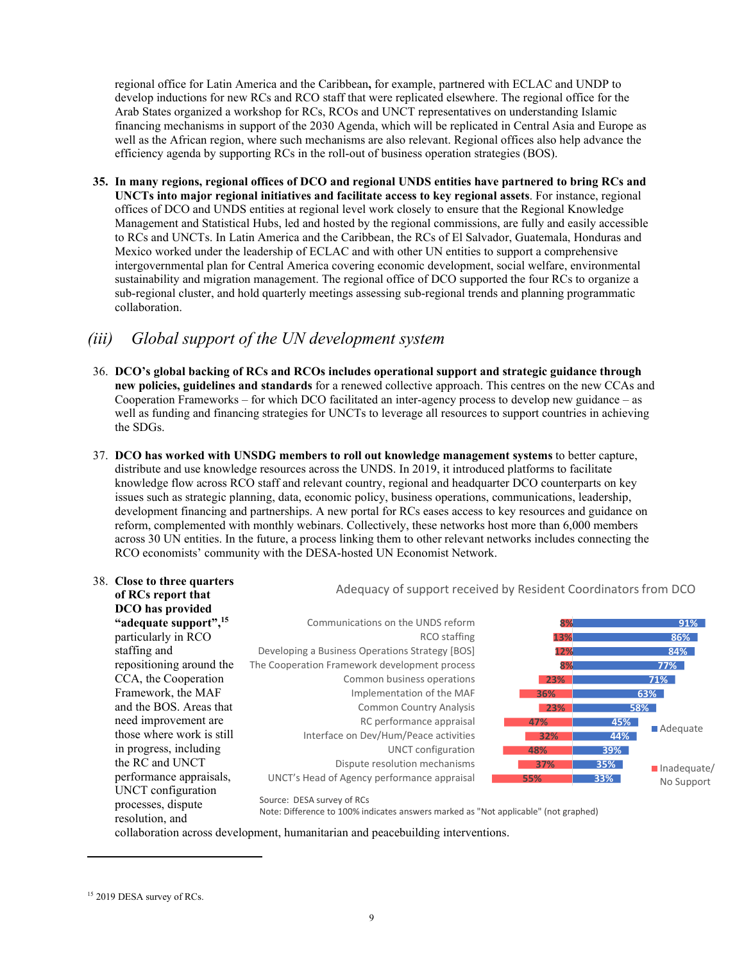regional office for Latin America and the Caribbean**,** for example, partnered with ECLAC and UNDP to develop inductions for new RCs and RCO staff that were replicated elsewhere. The regional office for the Arab States organized a workshop for RCs, RCOs and UNCT representatives on understanding Islamic financing mechanisms in support of the 2030 Agenda, which will be replicated in Central Asia and Europe as well as the African region, where such mechanisms are also relevant. Regional offices also help advance the efficiency agenda by supporting RCs in the roll-out of business operation strategies (BOS).

**35. In many regions, regional offices of DCO and regional UNDS entities have partnered to bring RCs and UNCTs into major regional initiatives and facilitate access to key regional assets**. For instance, regional offices of DCO and UNDS entities at regional level work closely to ensure that the Regional Knowledge Management and Statistical Hubs, led and hosted by the regional commissions, are fully and easily accessible to RCs and UNCTs. In Latin America and the Caribbean, the RCs of El Salvador, Guatemala, Honduras and Mexico worked under the leadership of ECLAC and with other UN entities to support a comprehensive intergovernmental plan for Central America covering economic development, social welfare, environmental sustainability and migration management. The regional office of DCO supported the four RCs to organize a sub-regional cluster, and hold quarterly meetings assessing sub-regional trends and planning programmatic collaboration.

### *(iii) Global support of the UN development system*

- 36. **DCO's global backing of RCs and RCOs includes operational support and strategic guidance through new policies, guidelines and standards** for a renewed collective approach. This centres on the new CCAs and Cooperation Frameworks – for which DCO facilitated an inter-agency process to develop new guidance – as well as funding and financing strategies for UNCTs to leverage all resources to support countries in achieving the SDGs.
- 37. **DCO has worked with UNSDG members to roll out knowledge management systems** to better capture, distribute and use knowledge resources across the UNDS. In 2019, it introduced platforms to facilitate knowledge flow across RCO staff and relevant country, regional and headquarter DCO counterparts on key issues such as strategic planning, data, economic policy, business operations, communications, leadership, development financing and partnerships. A new portal for RCs eases access to key resources and guidance on reform, complemented with monthly webinars. Collectively, these networks host more than 6,000 members across 30 UN entities. In the future, a process linking them to other relevant networks includes connecting the RCO economists' community with the DESA-hosted UN Economist Network.



<sup>15</sup> 2019 DESA survey of RCs.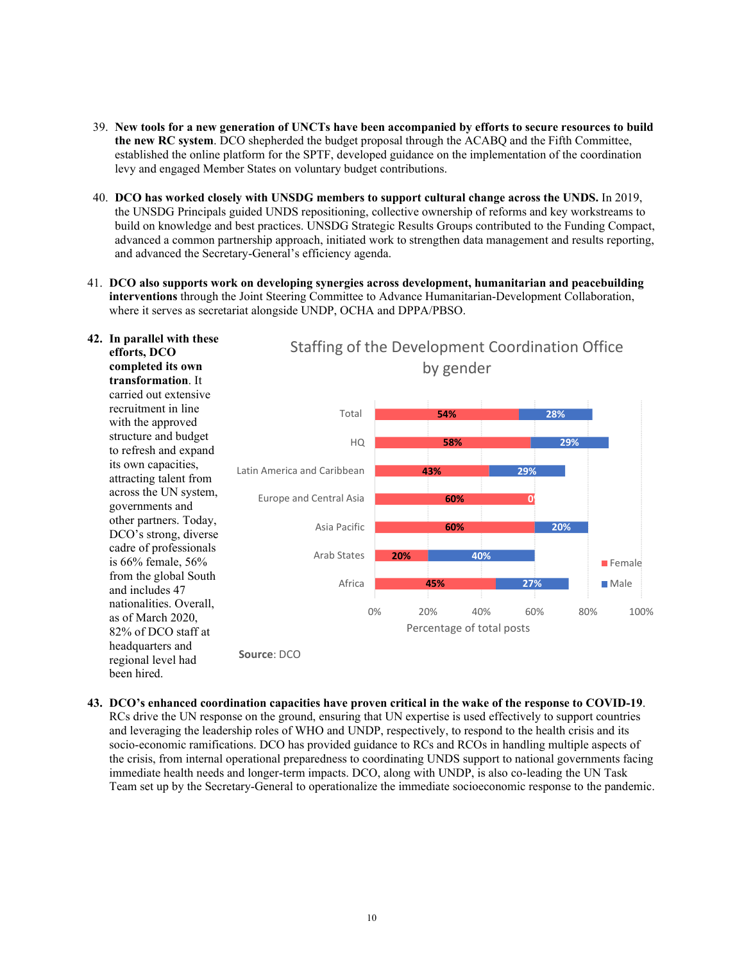- 39. **New tools for a new generation of UNCTs have been accompanied by efforts to secure resources to build the new RC system**. DCO shepherded the budget proposal through the ACABQ and the Fifth Committee, established the online platform for the SPTF, developed guidance on the implementation of the coordination levy and engaged Member States on voluntary budget contributions.
- 40. **DCO has worked closely with UNSDG members to support cultural change across the UNDS.** In 2019, the UNSDG Principals guided UNDS repositioning, collective ownership of reforms and key workstreams to build on knowledge and best practices. UNSDG Strategic Results Groups contributed to the Funding Compact, advanced a common partnership approach, initiated work to strengthen data management and results reporting, and advanced the Secretary-General's efficiency agenda.
- 41. **DCO also supports work on developing synergies across development, humanitarian and peacebuilding interventions** through the Joint Steering Committee to Advance Humanitarian-Development Collaboration, where it serves as secretariat alongside UNDP, OCHA and DPPA/PBSO.



**43. DCO's enhanced coordination capacities have proven critical in the wake of the response to COVID-19**. RCs drive the UN response on the ground, ensuring that UN expertise is used effectively to support countries and leveraging the leadership roles of WHO and UNDP, respectively, to respond to the health crisis and its socio-economic ramifications. DCO has provided guidance to RCs and RCOs in handling multiple aspects of the crisis, from internal operational preparedness to coordinating UNDS support to national governments facing immediate health needs and longer-term impacts. DCO, along with UNDP, is also co-leading the UN Task Team set up by the Secretary-General to operationalize the immediate socioeconomic response to the pandemic.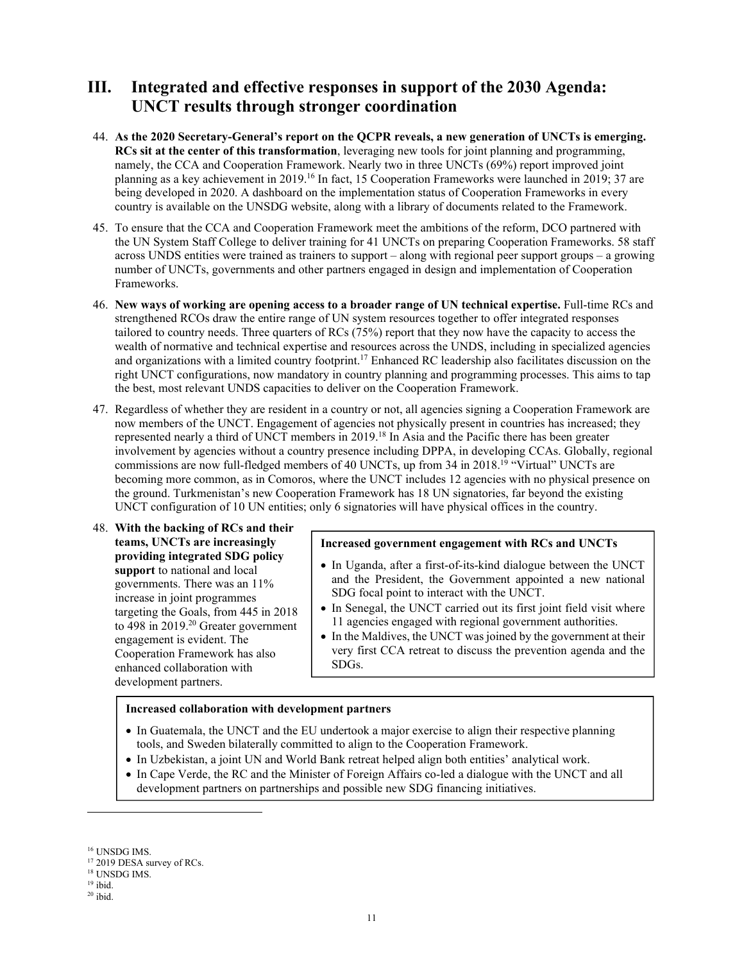## **III. Integrated and effective responses in support of the 2030 Agenda: UNCT results through stronger coordination**

- 44. **As the 2020 Secretary-General's report on the QCPR reveals, a new generation of UNCTs is emerging. RCs sit at the center of this transformation**, leveraging new tools for joint planning and programming, namely, the CCA and Cooperation Framework. Nearly two in three UNCTs (69%) report improved joint planning as a key achievement in 2019.<sup>16</sup> In fact, 15 Cooperation Frameworks were launched in 2019; 37 are being developed in 2020. A dashboard on the implementation status of Cooperation Frameworks in every country is available on the UNSDG website, along with a library of documents related to the Framework.
- 45. To ensure that the CCA and Cooperation Framework meet the ambitions of the reform, DCO partnered with the UN System Staff College to deliver training for 41 UNCTs on preparing Cooperation Frameworks. 58 staff across UNDS entities were trained as trainers to support – along with regional peer support groups – a growing number of UNCTs, governments and other partners engaged in design and implementation of Cooperation Frameworks.
- 46. **New ways of working are opening access to a broader range of UN technical expertise.** Full-time RCs and strengthened RCOs draw the entire range of UN system resources together to offer integrated responses tailored to country needs. Three quarters of RCs (75%) report that they now have the capacity to access the wealth of normative and technical expertise and resources across the UNDS, including in specialized agencies and organizations with a limited country footprint.<sup>17</sup> Enhanced RC leadership also facilitates discussion on the right UNCT configurations, now mandatory in country planning and programming processes. This aims to tap the best, most relevant UNDS capacities to deliver on the Cooperation Framework.
- 47. Regardless of whether they are resident in a country or not, all agencies signing a Cooperation Framework are now members of the UNCT. Engagement of agencies not physically present in countries has increased; they represented nearly a third of UNCT members in 2019.<sup>18</sup> In Asia and the Pacific there has been greater involvement by agencies without a country presence including DPPA, in developing CCAs. Globally, regional commissions are now full-fledged members of 40 UNCTs, up from 34 in 2018.<sup>19</sup> "Virtual" UNCTs are becoming more common, as in Comoros, where the UNCT includes 12 agencies with no physical presence on the ground. Turkmenistan's new Cooperation Framework has 18 UN signatories, far beyond the existing UNCT configuration of 10 UN entities; only 6 signatories will have physical offices in the country.
- 48. **With the backing of RCs and their teams, UNCTs are increasingly providing integrated SDG policy support** to national and local governments. There was an 11% increase in joint programmes targeting the Goals, from 445 in 2018 to 498 in 2019.<sup>20</sup> Greater government engagement is evident. The Cooperation Framework has also enhanced collaboration with development partners.

#### **Increased government engagement with RCs and UNCTs**

- In Uganda, after a first-of-its-kind dialogue between the UNCT and the President, the Government appointed a new national SDG focal point to interact with the UNCT.
- In Senegal, the UNCT carried out its first joint field visit where 11 agencies engaged with regional government authorities.
- In the Maldives, the UNCT was joined by the government at their very first CCA retreat to discuss the prevention agenda and the SDGs.

#### **Increased collaboration with development partners**

- In Guatemala, the UNCT and the EU undertook a major exercise to align their respective planning tools, and Sweden bilaterally committed to align to the Cooperation Framework.
- In Uzbekistan, a joint UN and World Bank retreat helped align both entities' analytical work.
- In Cape Verde, the RC and the Minister of Foreign Affairs co-led a dialogue with the UNCT and all development partners on partnerships and possible new SDG financing initiatives.

 $^{16}$  UNSDG IMS.

<sup>&</sup>lt;sup>17</sup> 2019 DESA survey of RCs.

<sup>18</sup> UNSDG IMS.

 $19$  ibid.

 $20$  ibid.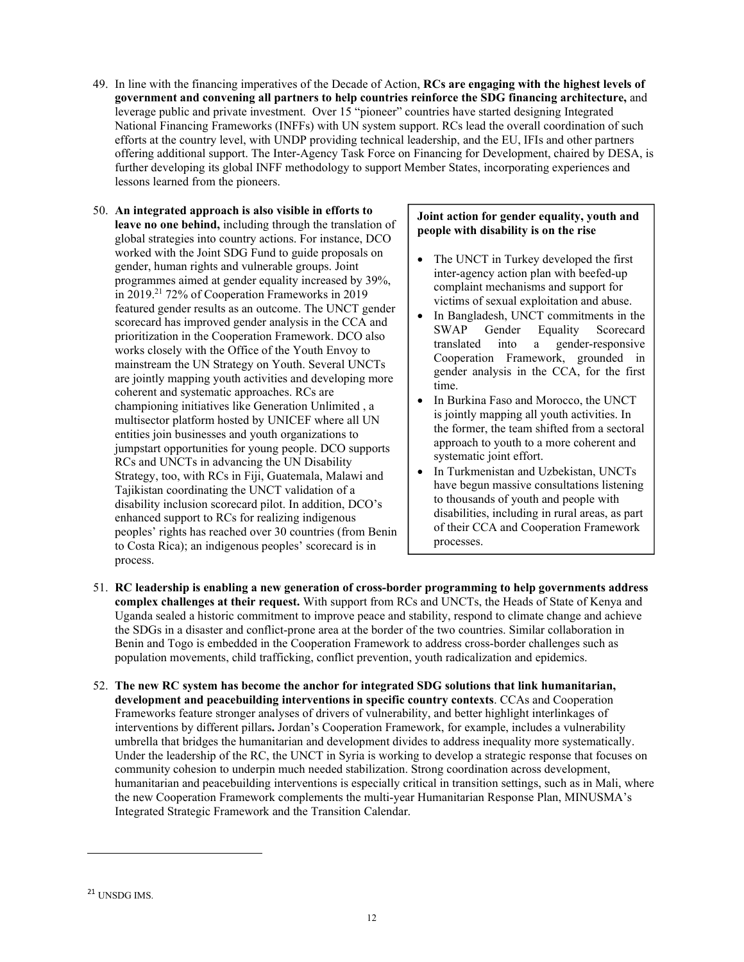- 49. In line with the financing imperatives of the Decade of Action, **RCs are engaging with the highest levels of government and convening all partners to help countries reinforce the SDG financing architecture,** and leverage public and private investment. Over 15 "pioneer" countries have started designing Integrated National Financing Frameworks (INFFs) with UN system support. RCs lead the overall coordination of such efforts at the country level, with UNDP providing technical leadership, and the EU, IFIs and other partners offering additional support. The Inter-Agency Task Force on Financing for Development, chaired by DESA, is further developing its global INFF methodology to support Member States, incorporating experiences and lessons learned from the pioneers.
- 50. **An integrated approach is also visible in efforts to leave no one behind,** including through the translation of global strategies into country actions. For instance, DCO worked with the Joint SDG Fund to guide proposals on gender, human rights and vulnerable groups. Joint programmes aimed at gender equality increased by 39%, in 2019.<sup>21</sup> 72% of Cooperation Frameworks in 2019 featured gender results as an outcome. The UNCT gender scorecard has improved gender analysis in the CCA and prioritization in the Cooperation Framework. DCO also works closely with the Office of the Youth Envoy to mainstream the UN Strategy on Youth. Several UNCTs are jointly mapping youth activities and developing more coherent and systematic approaches. RCs are championing initiatives like Generation Unlimited , a multisector platform hosted by UNICEF where all UN entities join businesses and youth organizations to jumpstart opportunities for young people. DCO supports RCs and UNCTs in advancing the UN Disability Strategy, too, with RCs in Fiji, Guatemala, Malawi and Tajikistan coordinating the UNCT validation of a disability inclusion scorecard pilot. In addition, DCO's enhanced support to RCs for realizing indigenous peoples' rights has reached over 30 countries (from Benin to Costa Rica); an indigenous peoples' scorecard is in process.

#### **Joint action for gender equality, youth and people with disability is on the rise**

- The UNCT in Turkey developed the first inter-agency action plan with beefed-up complaint mechanisms and support for victims of sexual exploitation and abuse.
- In Bangladesh, UNCT commitments in the SWAP Gender Equality Scorecard translated into a gender-responsive Cooperation Framework, grounded in gender analysis in the CCA, for the first time.
- In Burkina Faso and Morocco, the UNCT is jointly mapping all youth activities. In the former, the team shifted from a sectoral approach to youth to a more coherent and systematic joint effort.
- In Turkmenistan and Uzbekistan, UNCTs have begun massive consultations listening to thousands of youth and people with disabilities, including in rural areas, as part of their CCA and Cooperation Framework processes.
- 51. **RC leadership is enabling a new generation of cross-border programming to help governments address complex challenges at their request.** With support from RCs and UNCTs, the Heads of State of Kenya and Uganda sealed a historic commitment to improve peace and stability, respond to climate change and achieve the SDGs in a disaster and conflict-prone area at the border of the two countries. Similar collaboration in Benin and Togo is embedded in the Cooperation Framework to address cross-border challenges such as population movements, child trafficking, conflict prevention, youth radicalization and epidemics.
- 52. **The new RC system has become the anchor for integrated SDG solutions that link humanitarian, development and peacebuilding interventions in specific country contexts**. CCAs and Cooperation Frameworks feature stronger analyses of drivers of vulnerability, and better highlight interlinkages of interventions by different pillars**.** Jordan's Cooperation Framework, for example, includes a vulnerability umbrella that bridges the humanitarian and development divides to address inequality more systematically. Under the leadership of the RC, the UNCT in Syria is working to develop a strategic response that focuses on community cohesion to underpin much needed stabilization. Strong coordination across development, humanitarian and peacebuilding interventions is especially critical in transition settings, such as in Mali, where the new Cooperation Framework complements the multi-year Humanitarian Response Plan, MINUSMA's Integrated Strategic Framework and the Transition Calendar.

<sup>21</sup> UNSDG IMS.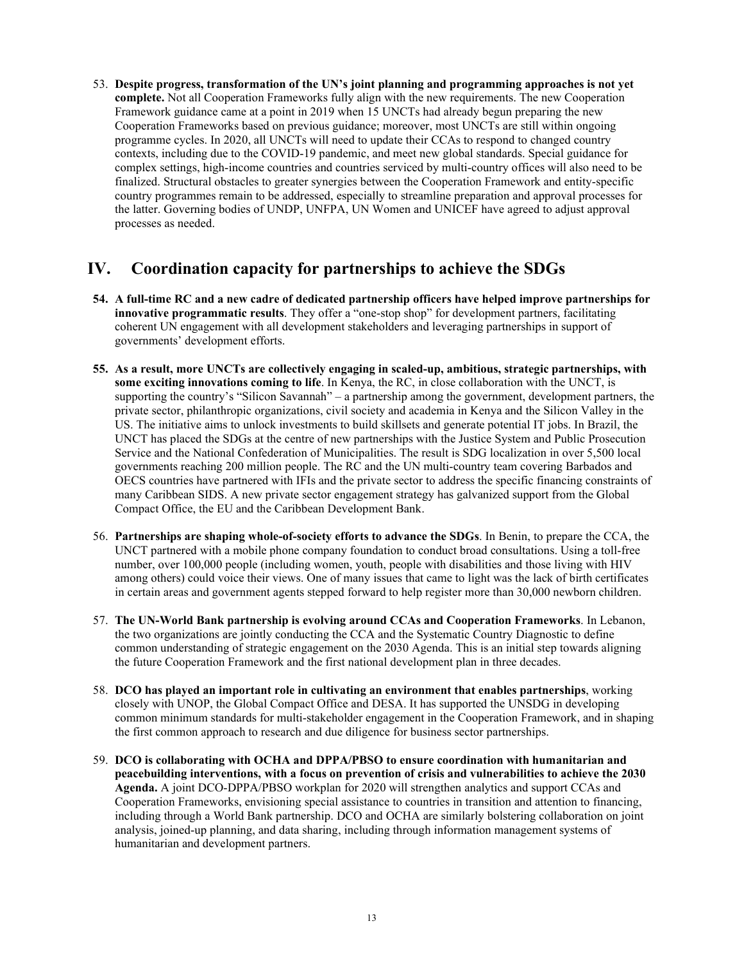53. **Despite progress, transformation of the UN's joint planning and programming approaches is not yet complete.** Not all Cooperation Frameworks fully align with the new requirements. The new Cooperation Framework guidance came at a point in 2019 when 15 UNCTs had already begun preparing the new Cooperation Frameworks based on previous guidance; moreover, most UNCTs are still within ongoing programme cycles. In 2020, all UNCTs will need to update their CCAs to respond to changed country contexts, including due to the COVID-19 pandemic, and meet new global standards. Special guidance for complex settings, high-income countries and countries serviced by multi-country offices will also need to be finalized. Structural obstacles to greater synergies between the Cooperation Framework and entity-specific country programmes remain to be addressed, especially to streamline preparation and approval processes for the latter. Governing bodies of UNDP, UNFPA, UN Women and UNICEF have agreed to adjust approval processes as needed.

### **IV. Coordination capacity for partnerships to achieve the SDGs**

- **54. A full-time RC and a new cadre of dedicated partnership officers have helped improve partnerships for innovative programmatic results**. They offer a "one-stop shop" for development partners, facilitating coherent UN engagement with all development stakeholders and leveraging partnerships in support of governments' development efforts.
- **55. As a result, more UNCTs are collectively engaging in scaled-up, ambitious, strategic partnerships, with some exciting innovations coming to life**. In Kenya, the RC, in close collaboration with the UNCT, is supporting the country's "Silicon Savannah" – a partnership among the government, development partners, the private sector, philanthropic organizations, civil society and academia in Kenya and the Silicon Valley in the US. The initiative aims to unlock investments to build skillsets and generate potential IT jobs. In Brazil, the UNCT has placed the SDGs at the centre of new partnerships with the Justice System and Public Prosecution Service and the National Confederation of Municipalities. The result is SDG localization in over 5,500 local governments reaching 200 million people. The RC and the UN multi-country team covering Barbados and OECS countries have partnered with IFIs and the private sector to address the specific financing constraints of many Caribbean SIDS. A new private sector engagement strategy has galvanized support from the Global Compact Office, the EU and the Caribbean Development Bank.
- 56. **Partnerships are shaping whole-of-society efforts to advance the SDGs**. In Benin, to prepare the CCA, the UNCT partnered with a mobile phone company foundation to conduct broad consultations. Using a toll-free number, over 100,000 people (including women, youth, people with disabilities and those living with HIV among others) could voice their views. One of many issues that came to light was the lack of birth certificates in certain areas and government agents stepped forward to help register more than 30,000 newborn children.
- 57. **The UN-World Bank partnership is evolving around CCAs and Cooperation Frameworks**. In Lebanon, the two organizations are jointly conducting the CCA and the Systematic Country Diagnostic to define common understanding of strategic engagement on the 2030 Agenda. This is an initial step towards aligning the future Cooperation Framework and the first national development plan in three decades.
- 58. **DCO has played an important role in cultivating an environment that enables partnerships**, working closely with UNOP, the Global Compact Office and DESA. It has supported the UNSDG in developing common minimum standards for multi-stakeholder engagement in the Cooperation Framework, and in shaping the first common approach to research and due diligence for business sector partnerships.
- 59. **DCO is collaborating with OCHA and DPPA/PBSO to ensure coordination with humanitarian and peacebuilding interventions, with a focus on prevention of crisis and vulnerabilities to achieve the 2030 Agenda.** A joint DCO-DPPA/PBSO workplan for 2020 will strengthen analytics and support CCAs and Cooperation Frameworks, envisioning special assistance to countries in transition and attention to financing, including through a World Bank partnership. DCO and OCHA are similarly bolstering collaboration on joint analysis, joined-up planning, and data sharing, including through information management systems of humanitarian and development partners.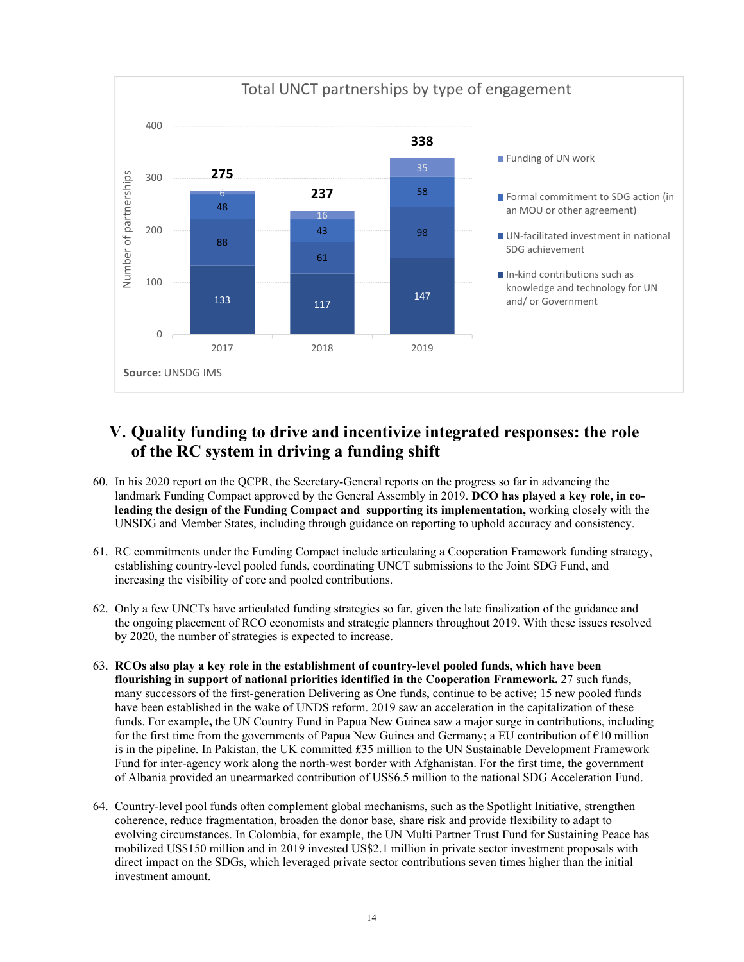

# **V. Quality funding to drive and incentivize integrated responses: the role of the RC system in driving a funding shift**

- 60. In his 2020 report on the QCPR, the Secretary-General reports on the progress so far in advancing the landmark Funding Compact approved by the General Assembly in 2019. **DCO has played a key role, in coleading the design of the Funding Compact and supporting its implementation,** working closely with the UNSDG and Member States, including through guidance on reporting to uphold accuracy and consistency.
- 61. RC commitments under the Funding Compact include articulating a Cooperation Framework funding strategy, establishing country-level pooled funds, coordinating UNCT submissions to the Joint SDG Fund, and increasing the visibility of core and pooled contributions.
- 62. Only a few UNCTs have articulated funding strategies so far, given the late finalization of the guidance and the ongoing placement of RCO economists and strategic planners throughout 2019. With these issues resolved by 2020, the number of strategies is expected to increase.
- 63. **RCOs also play a key role in the establishment of country-level pooled funds, which have been flourishing in support of national priorities identified in the Cooperation Framework.** 27 such funds, many successors of the first-generation Delivering as One funds, continue to be active; 15 new pooled funds have been established in the wake of UNDS reform. 2019 saw an acceleration in the capitalization of these funds. For example**,** the UN Country Fund in Papua New Guinea saw a major surge in contributions, including for the first time from the governments of Papua New Guinea and Germany; a EU contribution of €10 million is in the pipeline. In Pakistan, the UK committed  $£35$  million to the UN Sustainable Development Framework Fund for inter-agency work along the north-west border with Afghanistan. For the first time, the government of Albania provided an unearmarked contribution of US\$6.5 million to the national SDG Acceleration Fund.
- 64. Country-level pool funds often complement global mechanisms, such as the Spotlight Initiative, strengthen coherence, reduce fragmentation, broaden the donor base, share risk and provide flexibility to adapt to evolving circumstances. In Colombia, for example, the UN Multi Partner Trust Fund for Sustaining Peace has mobilized US\$150 million and in 2019 invested US\$2.1 million in private sector investment proposals with direct impact on the SDGs, which leveraged private sector contributions seven times higher than the initial investment amount.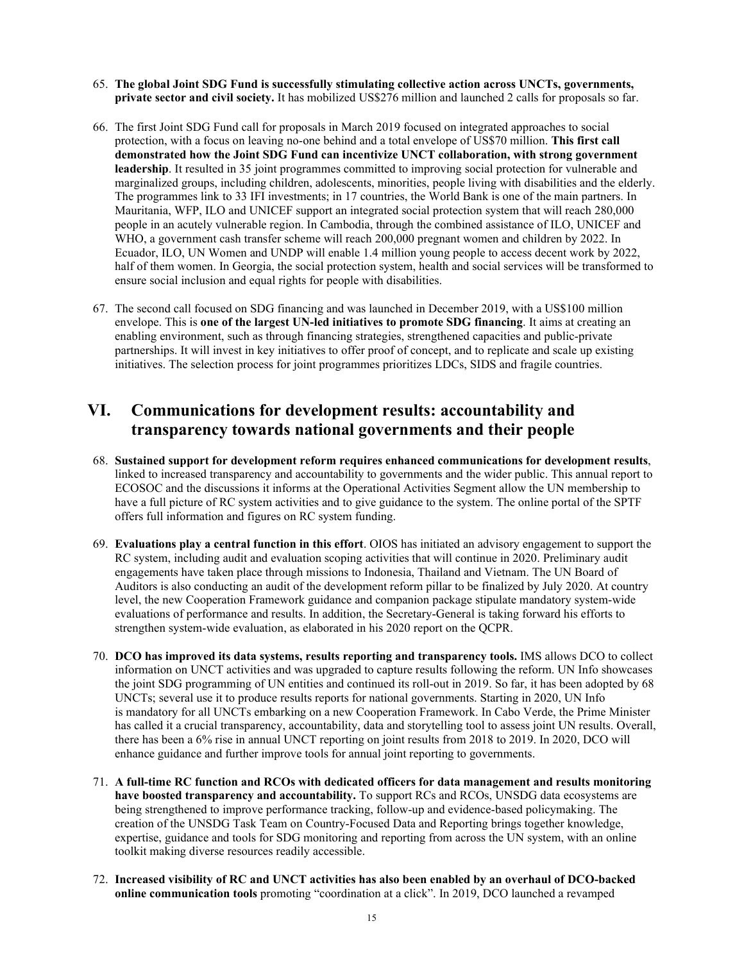- 65. **The global Joint SDG Fund is successfully stimulating collective action across UNCTs, governments, private sector and civil society.** It has mobilized US\$276 million and launched 2 calls for proposals so far.
- 66. The first Joint SDG Fund call for proposals in March 2019 focused on integrated approaches to social protection, with a focus on leaving no-one behind and a total envelope of US\$70 million. **This first call demonstrated how the Joint SDG Fund can incentivize UNCT collaboration, with strong government leadership**. It resulted in 35 joint programmes committed to improving social protection for vulnerable and marginalized groups, including children, adolescents, minorities, people living with disabilities and the elderly. The programmes link to 33 IFI investments; in 17 countries, the World Bank is one of the main partners. In Mauritania, WFP, ILO and UNICEF support an integrated social protection system that will reach 280,000 people in an acutely vulnerable region. In Cambodia, through the combined assistance of ILO, UNICEF and WHO, a government cash transfer scheme will reach 200,000 pregnant women and children by 2022. In Ecuador, ILO, UN Women and UNDP will enable 1.4 million young people to access decent work by 2022, half of them women. In Georgia, the social protection system, health and social services will be transformed to ensure social inclusion and equal rights for people with disabilities.
- 67. The second call focused on SDG financing and was launched in December 2019, with a US\$100 million envelope. This is **one of the largest UN-led initiatives to promote SDG financing**. It aims at creating an enabling environment, such as through financing strategies, strengthened capacities and public-private partnerships. It will invest in key initiatives to offer proof of concept, and to replicate and scale up existing initiatives. The selection process for joint programmes prioritizes LDCs, SIDS and fragile countries.

## **VI. Communications for development results: accountability and transparency towards national governments and their people**

- 68. **Sustained support for development reform requires enhanced communications for development results**, linked to increased transparency and accountability to governments and the wider public. This annual report to ECOSOC and the discussions it informs at the Operational Activities Segment allow the UN membership to have a full picture of RC system activities and to give guidance to the system. The online portal of the SPTF offers full information and figures on RC system funding.
- 69. **Evaluations play a central function in this effort**. OIOS has initiated an advisory engagement to support the RC system, including audit and evaluation scoping activities that will continue in 2020. Preliminary audit engagements have taken place through missions to Indonesia, Thailand and Vietnam. The UN Board of Auditors is also conducting an audit of the development reform pillar to be finalized by July 2020. At country level, the new Cooperation Framework guidance and companion package stipulate mandatory system-wide evaluations of performance and results. In addition, the Secretary-General is taking forward his efforts to strengthen system-wide evaluation, as elaborated in his 2020 report on the QCPR.
- 70. **DCO has improved its data systems, results reporting and transparency tools.** IMS allows DCO to collect information on UNCT activities and was upgraded to capture results following the reform. UN Info showcases the joint SDG programming of UN entities and continued its roll-out in 2019. So far, it has been adopted by 68 UNCTs; several use it to produce results reports for national governments. Starting in 2020, UN Info is mandatory for all UNCTs embarking on a new Cooperation Framework. In Cabo Verde, the Prime Minister has called it a crucial transparency, accountability, data and storytelling tool to assess joint UN results. Overall, there has been a 6% rise in annual UNCT reporting on joint results from 2018 to 2019. In 2020, DCO will enhance guidance and further improve tools for annual joint reporting to governments.
- 71. **A full-time RC function and RCOs with dedicated officers for data management and results monitoring have boosted transparency and accountability.** To support RCs and RCOs, UNSDG data ecosystems are being strengthened to improve performance tracking, follow-up and evidence-based policymaking. The creation of the UNSDG Task Team on Country-Focused Data and Reporting brings together knowledge, expertise, guidance and tools for SDG monitoring and reporting from across the UN system, with an online toolkit making diverse resources readily accessible.
- 72. **Increased visibility of RC and UNCT activities has also been enabled by an overhaul of DCO-backed online communication tools** promoting "coordination at a click". In 2019, DCO launched a revamped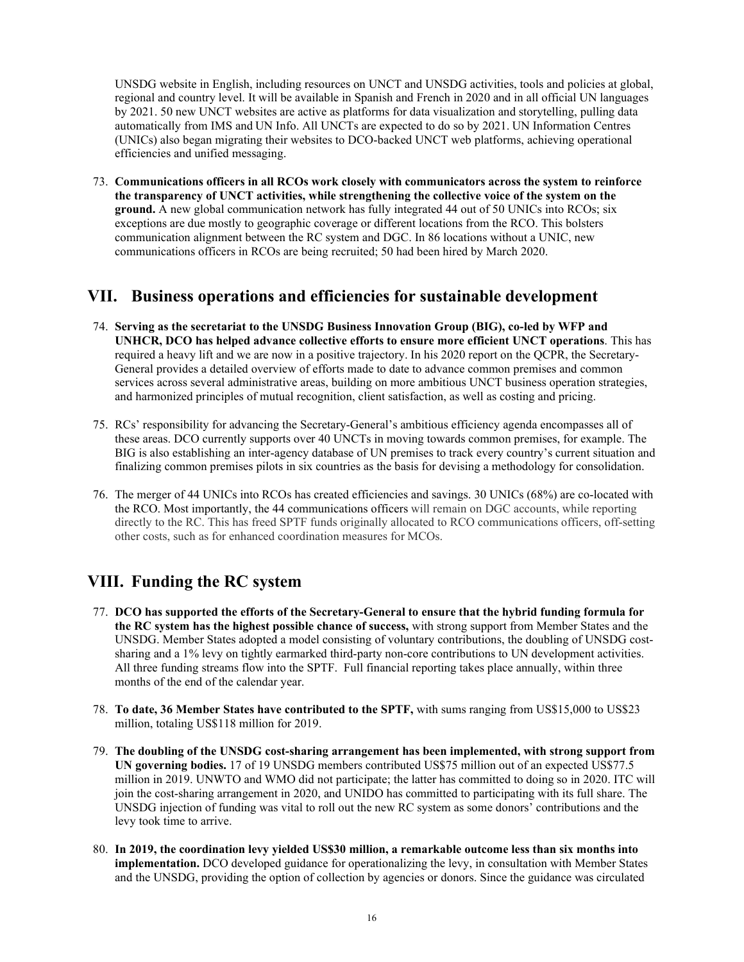UNSDG website in English, including resources on UNCT and UNSDG activities, tools and policies at global, regional and country level. It will be available in Spanish and French in 2020 and in all official UN languages by 2021. 50 new UNCT websites are active as platforms for data visualization and storytelling, pulling data automatically from IMS and UN Info. All UNCTs are expected to do so by 2021. UN Information Centres (UNICs) also began migrating their websites to DCO-backed UNCT web platforms, achieving operational efficiencies and unified messaging.

73. **Communications officers in all RCOs work closely with communicators across the system to reinforce the transparency of UNCT activities, while strengthening the collective voice of the system on the ground.** A new global communication network has fully integrated 44 out of 50 UNICs into RCOs; six exceptions are due mostly to geographic coverage or different locations from the RCO. This bolsters communication alignment between the RC system and DGC. In 86 locations without a UNIC, new communications officers in RCOs are being recruited; 50 had been hired by March 2020. 

## **VII. Business operations and efficiencies for sustainable development**

- 74. **Serving as the secretariat to the UNSDG Business Innovation Group (BIG), co-led by WFP and UNHCR, DCO has helped advance collective efforts to ensure more efficient UNCT operations**. This has required a heavy lift and we are now in a positive trajectory. In his 2020 report on the QCPR, the Secretary-General provides a detailed overview of efforts made to date to advance common premises and common services across several administrative areas, building on more ambitious UNCT business operation strategies, and harmonized principles of mutual recognition, client satisfaction, as well as costing and pricing.
- 75. RCs' responsibility for advancing the Secretary-General's ambitious efficiency agenda encompasses all of these areas. DCO currently supports over 40 UNCTs in moving towards common premises, for example. The BIG is also establishing an inter-agency database of UN premises to track every country's current situation and finalizing common premises pilots in six countries as the basis for devising a methodology for consolidation.
- 76. The merger of 44 UNICs into RCOs has created efficiencies and savings. 30 UNICs (68%) are co-located with the RCO. Most importantly, the 44 communications officers will remain on DGC accounts, while reporting directly to the RC. This has freed SPTF funds originally allocated to RCO communications officers, off-setting other costs, such as for enhanced coordination measures for MCOs.

### **VIII. Funding the RC system**

- 77. **DCO has supported the efforts of the Secretary-General to ensure that the hybrid funding formula for the RC system has the highest possible chance of success,** with strong support from Member States and the UNSDG. Member States adopted a model consisting of voluntary contributions, the doubling of UNSDG costsharing and a 1% levy on tightly earmarked third-party non-core contributions to UN development activities. All three funding streams flow into the SPTF. Full financial reporting takes place annually, within three months of the end of the calendar year.
- 78. **To date, 36 Member States have contributed to the SPTF,** with sums ranging from US\$15,000 to US\$23 million, totaling US\$118 million for 2019.
- 79. **The doubling of the UNSDG cost-sharing arrangement has been implemented, with strong support from UN governing bodies.** 17 of 19 UNSDG members contributed US\$75 million out of an expected US\$77.5 million in 2019. UNWTO and WMO did not participate; the latter has committed to doing so in 2020. ITC will join the cost-sharing arrangement in 2020, and UNIDO has committed to participating with its full share. The UNSDG injection of funding was vital to roll out the new RC system as some donors' contributions and the levy took time to arrive.
- 80. **In 2019, the coordination levy yielded US\$30 million, a remarkable outcome less than six months into implementation.** DCO developed guidance for operationalizing the levy, in consultation with Member States and the UNSDG, providing the option of collection by agencies or donors. Since the guidance was circulated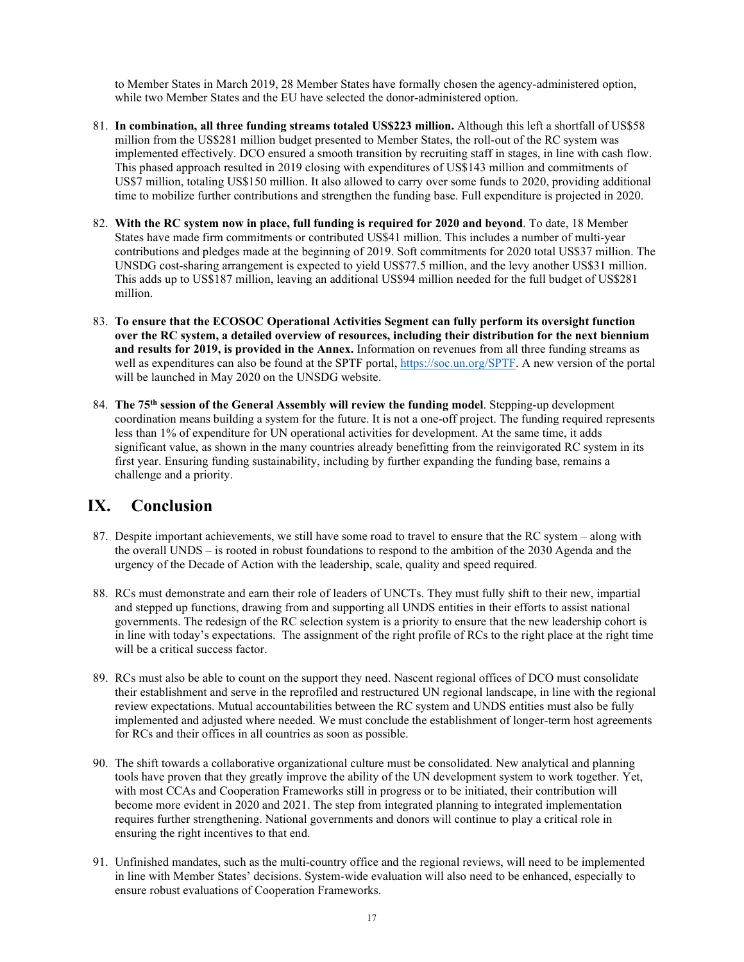to Member States in March 2019, 28 Member States have formally chosen the agency-administered option, while two Member States and the EU have selected the donor-administered option.

- 81. **In combination, all three funding streams totaled US\$223 million.** Although this left a shortfall of US\$58 million from the US\$281 million budget presented to Member States, the roll-out of the RC system was implemented effectively. DCO ensured a smooth transition by recruiting staff in stages, in line with cash flow. This phased approach resulted in 2019 closing with expenditures of US\$143 million and commitments of US\$7 million, totaling US\$150 million. It also allowed to carry over some funds to 2020, providing additional time to mobilize further contributions and strengthen the funding base. Full expenditure is projected in 2020.
- 82. **With the RC system now in place, full funding is required for 2020 and beyond**. To date, 18 Member States have made firm commitments or contributed US\$41 million. This includes a number of multi-year contributions and pledges made at the beginning of 2019. Soft commitments for 2020 total US\$37 million. The UNSDG cost-sharing arrangement is expected to yield US\$77.5 million, and the levy another US\$31 million. This adds up to US\$187 million, leaving an additional US\$94 million needed for the full budget of US\$281 million.
- 83. **To ensure that the ECOSOC Operational Activities Segment can fully perform its oversight function over the RC system, a detailed overview of resources, including their distribution for the next biennium and results for 2019, is provided in the Annex.** Information on revenues from all three funding streams as well as expenditures can also be found at the SPTF portal, https://soc.un.org/SPTF. A new version of the portal will be launched in May 2020 on the UNSDG website.
- 84. **The 75th session of the General Assembly will review the funding model**. Stepping-up development coordination means building a system for the future. It is not a one-off project. The funding required represents less than 1% of expenditure for UN operational activities for development. At the same time, it adds significant value, as shown in the many countries already benefitting from the reinvigorated RC system in its first year. Ensuring funding sustainability, including by further expanding the funding base, remains a challenge and a priority.

### **IX. Conclusion**

- 87. Despite important achievements, we still have some road to travel to ensure that the RC system along with the overall UNDS – is rooted in robust foundations to respond to the ambition of the 2030 Agenda and the urgency of the Decade of Action with the leadership, scale, quality and speed required.
- 88. RCs must demonstrate and earn their role of leaders of UNCTs. They must fully shift to their new, impartial and stepped up functions, drawing from and supporting all UNDS entities in their efforts to assist national governments. The redesign of the RC selection system is a priority to ensure that the new leadership cohort is in line with today's expectations. The assignment of the right profile of RCs to the right place at the right time will be a critical success factor.
- 89. RCs must also be able to count on the support they need. Nascent regional offices of DCO must consolidate their establishment and serve in the reprofiled and restructured UN regional landscape, in line with the regional review expectations. Mutual accountabilities between the RC system and UNDS entities must also be fully implemented and adjusted where needed. We must conclude the establishment of longer-term host agreements for RCs and their offices in all countries as soon as possible.
- 90. The shift towards a collaborative organizational culture must be consolidated. New analytical and planning tools have proven that they greatly improve the ability of the UN development system to work together. Yet, with most CCAs and Cooperation Frameworks still in progress or to be initiated, their contribution will become more evident in 2020 and 2021. The step from integrated planning to integrated implementation requires further strengthening. National governments and donors will continue to play a critical role in ensuring the right incentives to that end.
- 91. Unfinished mandates, such as the multi-country office and the regional reviews, will need to be implemented in line with Member States' decisions. System-wide evaluation will also need to be enhanced, especially to ensure robust evaluations of Cooperation Frameworks.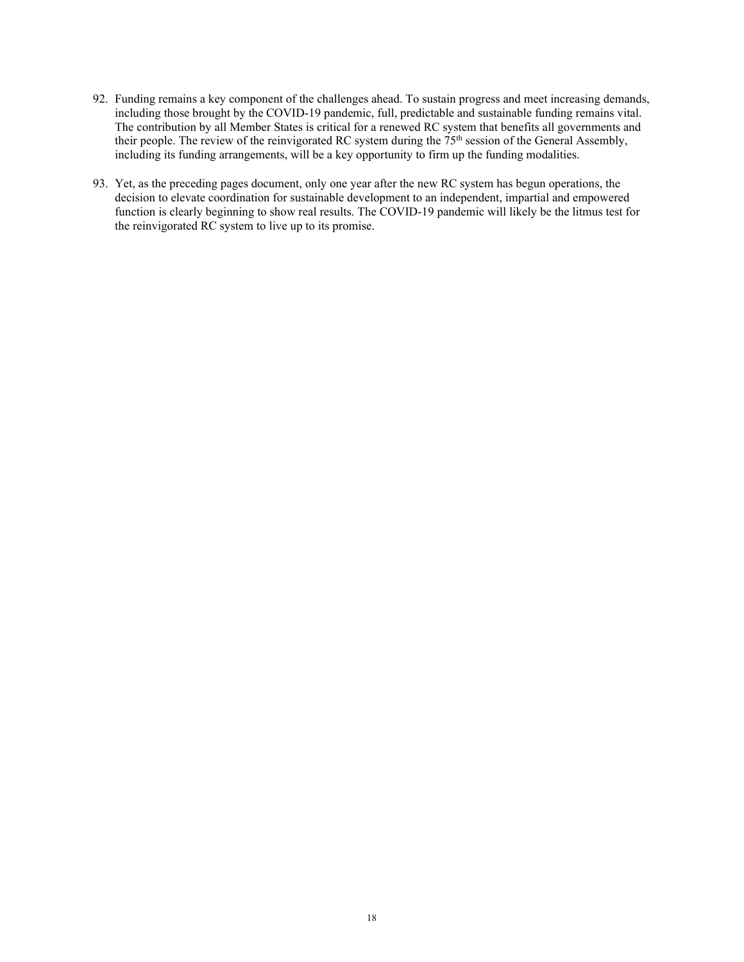- 92. Funding remains a key component of the challenges ahead. To sustain progress and meet increasing demands, including those brought by the COVID-19 pandemic, full, predictable and sustainable funding remains vital. The contribution by all Member States is critical for a renewed RC system that benefits all governments and their people. The review of the reinvigorated RC system during the 75<sup>th</sup> session of the General Assembly, including its funding arrangements, will be a key opportunity to firm up the funding modalities.
- 93. Yet, as the preceding pages document, only one year after the new RC system has begun operations, the decision to elevate coordination for sustainable development to an independent, impartial and empowered function is clearly beginning to show real results. The COVID-19 pandemic will likely be the litmus test for the reinvigorated RC system to live up to its promise.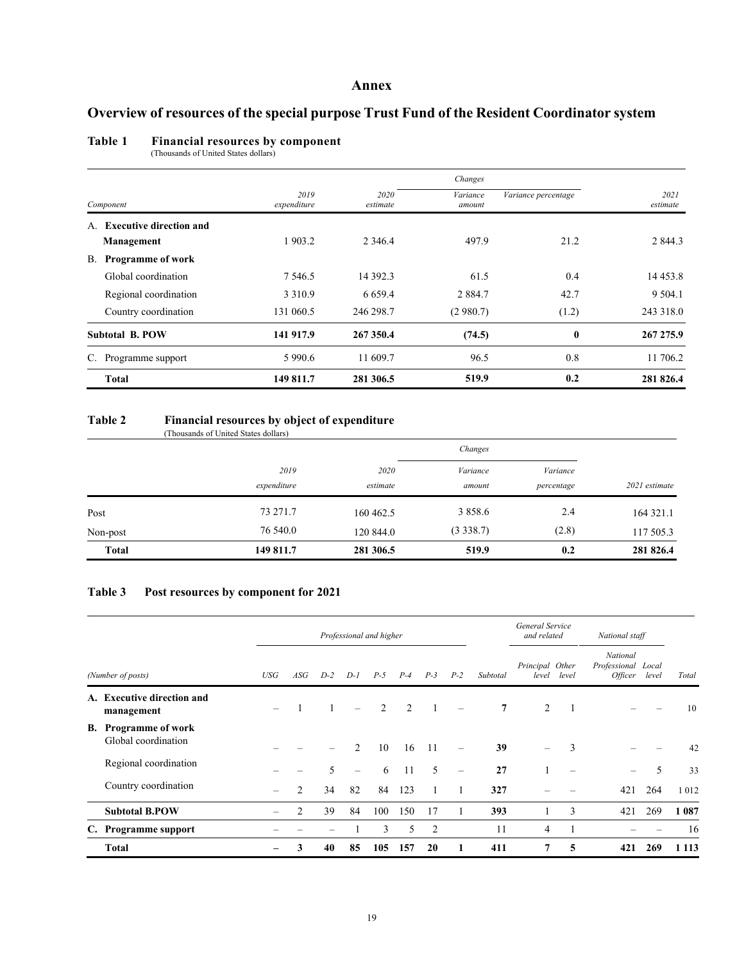### **Annex**

### **Overview of resources of the special purpose Trust Fund of the Resident Coordinator system**

#### **Table 1 Financial resources by component**

(Thousands of United States dollars)

|           |                                |                     |                  | Changes            |                     |                  |  |
|-----------|--------------------------------|---------------------|------------------|--------------------|---------------------|------------------|--|
| Component |                                | 2019<br>expenditure | 2020<br>estimate | Variance<br>amount | Variance percentage | 2021<br>estimate |  |
| A.        | <b>Executive direction and</b> |                     |                  |                    |                     |                  |  |
|           | Management                     | 1 903.2             | 2 3 4 6 .4       | 497.9              | 21.2                | 2 844.3          |  |
| В.        | Programme of work              |                     |                  |                    |                     |                  |  |
|           | Global coordination            | 7 5 4 6 .5          | 14 392.3         | 61.5               | 0.4                 | 14 4 5 3.8       |  |
|           | Regional coordination          | 3 3 1 0.9           | 6 6 5 9.4        | 2 8 8 4 .7         | 42.7                | 9 5 0 4 .1       |  |
|           | Country coordination           | 131 060.5           | 246 298.7        | (2980.7)           | (1.2)               | 243 318.0        |  |
|           | <b>Subtotal B. POW</b>         | 141 917.9           | 267 350.4        | (74.5)             | $\boldsymbol{0}$    | 267 275.9        |  |
|           | C. Programme support           | 5 9 9 0.6           | 11 609.7         | 96.5               | 0.8                 | 11 706.2         |  |
|           | <b>Total</b>                   | 149 811.7           | 281 306.5        | 519.9              | 0.2                 | 281 826.4        |  |

### **Table 2 Financial resources by object of expenditure**

|              | (Thousands of United States dollars) |                  | Changes            |                        |               |
|--------------|--------------------------------------|------------------|--------------------|------------------------|---------------|
|              | 2019<br>expenditure                  | 2020<br>estimate | Variance<br>amount | Variance<br>percentage | 2021 estimate |
| Post         | 73 271.7                             | 160 462.5        | 3 8 5 8 . 6        | 2.4                    | 164 321.1     |
| Non-post     | 76 540.0                             | 120 844.0        | (3338.7)           | (2.8)                  | 117 505.3     |
| <b>Total</b> | 149 811.7                            | 281 306.5        | 519.9              | 0.2                    | 281 826.4     |

#### **Table 3 Post resources by component for 2021**

|                   |                                                 |     |                |       |                 | Professional and higher |                |                          |                          |                | General Service<br>and related |                 | National staff                                   |       |         |
|-------------------|-------------------------------------------------|-----|----------------|-------|-----------------|-------------------------|----------------|--------------------------|--------------------------|----------------|--------------------------------|-----------------|--------------------------------------------------|-------|---------|
| (Number of posts) |                                                 | USG | ASG            | $D-2$ | $D-I$           | $P-5$                   | $P-4$          | $P-3$                    | $P-2$                    | Subtotal       | Principal Other<br>level       | level           | National<br>Professional Local<br><i>Officer</i> | level | Total   |
|                   | A. Executive direction and<br>management        |     |                |       |                 | $\mathcal{L}$           | $\overline{2}$ | $\overline{\phantom{0}}$ |                          | $\overline{7}$ | $\overline{2}$                 | 1               |                                                  |       | 10      |
| В.                | <b>Programme of work</b><br>Global coordination |     |                |       | $\mathfrak{D}$  | 10                      | 16             | -11                      |                          | 39             | $\overline{\phantom{0}}$       | 3               |                                                  |       | 42      |
|                   | Regional coordination                           |     |                | 5     | $\qquad \qquad$ | 6                       | -11            | 5                        | $\overline{\phantom{m}}$ | 27             |                                | $\qquad \qquad$ | $\overline{\phantom{m}}$                         | 5     | 33      |
|                   | Country coordination                            |     | $\overline{2}$ | 34    | 82              | 84                      | 123            |                          |                          | 327            |                                |                 | 421                                              | 264   | 1012    |
|                   | <b>Subtotal B.POW</b>                           |     | 2              | 39    | 84              | 100                     | 150            | 17                       |                          | 393            |                                | 3               | 421                                              | 269   | 1 0 8 7 |
|                   | C. Programme support                            |     |                |       |                 | 3                       | 5              | 2                        |                          | 11             | 4                              |                 |                                                  |       | 16      |
|                   | <b>Total</b>                                    |     | 3              | 40    | 85              | 105                     | 157            | 20                       |                          | 411            | 7                              | 5               | 421                                              | 269   | 1 1 1 3 |